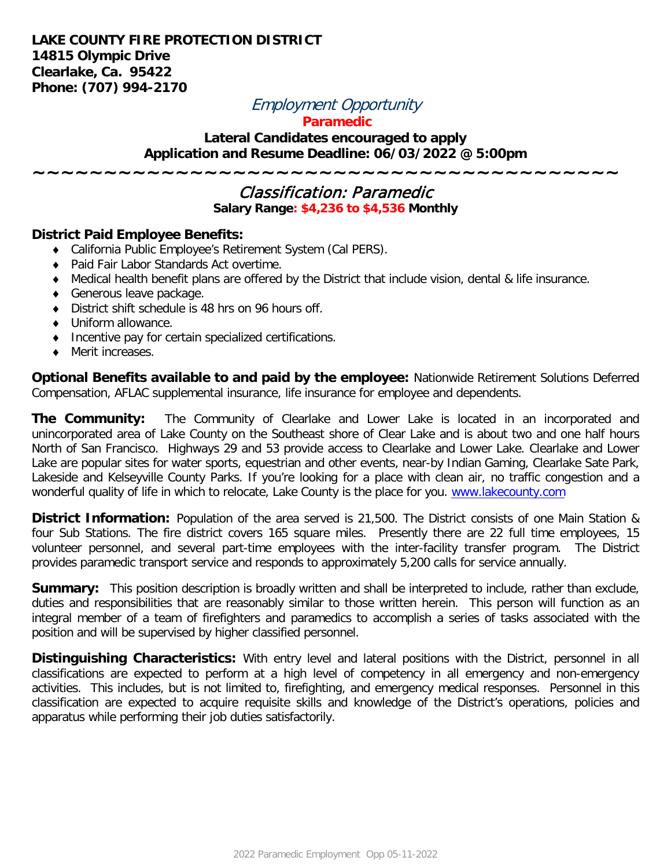## **LAKE COUNTY FIRE PROTECTION DISTRICT 14815 Olympic Drive Clearlake, Ca. 95422 Phone: (707) 994-2170**

# Employment Opportunity

#### **Paramedic**

## **Lateral Candidates encouraged to apply Application and Resume Deadline: 06/03/2022 @ 5:00pm**

# Classification: Paramedic

**~~~~~~~~~~~~~~~~~~~~~~~~~~~~~~~~~~~~~~~~~**

**Salary Range: \$4,236 to \$4,536 Monthly**

#### **District Paid Employee Benefits:**

- ♦ California Public Employee's Retirement System (Cal PERS).
- ♦ Paid Fair Labor Standards Act overtime.
- ♦ Medical health benefit plans are offered by the District that include vision, dental & life insurance.
- ♦ Generous leave package.
- ♦ District shift schedule is 48 hrs on 96 hours off.
- ♦ Uniform allowance.
- ♦ Incentive pay for certain specialized certifications.
- ♦ Merit increases.

**Optional Benefits available to and paid by the employee:** Nationwide Retirement Solutions Deferred Compensation, AFLAC supplemental insurance, life insurance for employee and dependents.

**The Community:** The Community of Clearlake and Lower Lake is located in an incorporated and unincorporated area of Lake County on the Southeast shore of Clear Lake and is about two and one half hours North of San Francisco. Highways 29 and 53 provide access to Clearlake and Lower Lake. Clearlake and Lower Lake are popular sites for water sports, equestrian and other events, near-by Indian Gaming, Clearlake Sate Park, Lakeside and Kelseyville County Parks. If you're looking for a place with clean air, no traffic congestion and a wonderful quality of life in which to relocate, Lake County is the place for you. [www.lakecounty.com](http://www.lakecounty.com/)

**District Information:** Population of the area served is 21,500. The District consists of one Main Station & four Sub Stations. The fire district covers 165 square miles. Presently there are 22 full time employees, 15 volunteer personnel, and several part-time employees with the inter-facility transfer program. The District provides paramedic transport service and responds to approximately 5,200 calls for service annually.

**Summary:** This position description is broadly written and shall be interpreted to include, rather than exclude, duties and responsibilities that are reasonably similar to those written herein. This person will function as an integral member of a team of firefighters and paramedics to accomplish a series of tasks associated with the position and will be supervised by higher classified personnel.

**Distinguishing Characteristics:** With entry level and lateral positions with the District, personnel in all classifications are expected to perform at a high level of competency in all emergency and non-emergency activities. This includes, but is not limited to, firefighting, and emergency medical responses. Personnel in this classification are expected to acquire requisite skills and knowledge of the District's operations, policies and apparatus while performing their job duties satisfactorily.